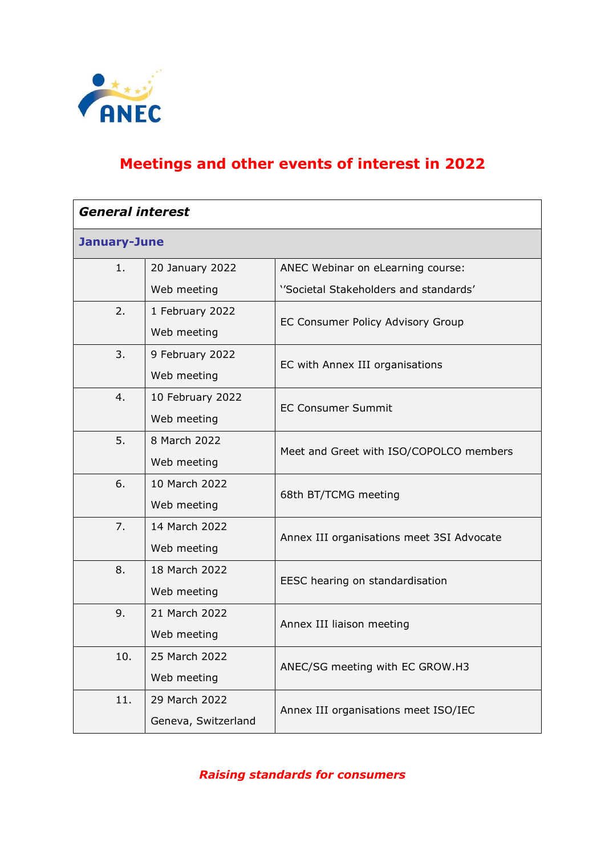

# **Meetings and other events of interest in 2022**

| <b>General interest</b> |                     |                                           |
|-------------------------|---------------------|-------------------------------------------|
| January-June            |                     |                                           |
| 1.                      | 20 January 2022     | ANEC Webinar on eLearning course:         |
|                         | Web meeting         | ''Societal Stakeholders and standards'    |
| 2.                      | 1 February 2022     | EC Consumer Policy Advisory Group         |
|                         | Web meeting         |                                           |
| 3.                      | 9 February 2022     | EC with Annex III organisations           |
|                         | Web meeting         |                                           |
| 4.                      | 10 February 2022    | <b>EC Consumer Summit</b>                 |
|                         | Web meeting         |                                           |
| 5.                      | 8 March 2022        | Meet and Greet with ISO/COPOLCO members   |
|                         | Web meeting         |                                           |
| 6.                      | 10 March 2022       | 68th BT/TCMG meeting                      |
|                         | Web meeting         |                                           |
| 7.                      | 14 March 2022       | Annex III organisations meet 3SI Advocate |
|                         | Web meeting         |                                           |
| 8.                      | 18 March 2022       | EESC hearing on standardisation           |
|                         | Web meeting         |                                           |
| 9.                      | 21 March 2022       | Annex III liaison meeting                 |
|                         | Web meeting         |                                           |
| 10.                     | 25 March 2022       | ANEC/SG meeting with EC GROW.H3           |
|                         | Web meeting         |                                           |
| 11.                     | 29 March 2022       | Annex III organisations meet ISO/IEC      |
|                         | Geneva, Switzerland |                                           |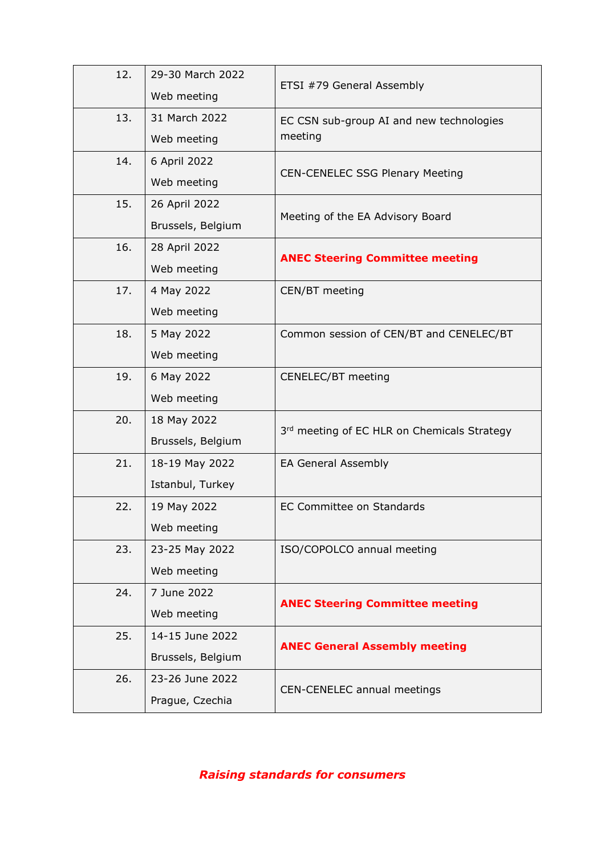| 12. | 29-30 March 2022  | ETSI #79 General Assembly                   |
|-----|-------------------|---------------------------------------------|
|     | Web meeting       |                                             |
| 13. | 31 March 2022     | EC CSN sub-group AI and new technologies    |
|     | Web meeting       | meeting                                     |
| 14. | 6 April 2022      |                                             |
|     | Web meeting       | <b>CEN-CENELEC SSG Plenary Meeting</b>      |
| 15. | 26 April 2022     |                                             |
|     | Brussels, Belgium | Meeting of the EA Advisory Board            |
| 16. | 28 April 2022     | <b>ANEC Steering Committee meeting</b>      |
|     | Web meeting       |                                             |
| 17. | 4 May 2022        | CEN/BT meeting                              |
|     | Web meeting       |                                             |
| 18. | 5 May 2022        | Common session of CEN/BT and CENELEC/BT     |
|     | Web meeting       |                                             |
| 19. | 6 May 2022        | CENELEC/BT meeting                          |
|     | Web meeting       |                                             |
| 20. | 18 May 2022       | 3rd meeting of EC HLR on Chemicals Strategy |
|     | Brussels, Belgium |                                             |
| 21. | 18-19 May 2022    | EA General Assembly                         |
|     | Istanbul, Turkey  |                                             |
| 22. | 19 May 2022       | <b>EC Committee on Standards</b>            |
|     | Web meeting       |                                             |
| 23. | 23-25 May 2022    | ISO/COPOLCO annual meeting                  |
|     | Web meeting       |                                             |
| 24. | 7 June 2022       | <b>ANEC Steering Committee meeting</b>      |
|     | Web meeting       |                                             |
| 25. | 14-15 June 2022   | <b>ANEC General Assembly meeting</b>        |
|     | Brussels, Belgium |                                             |
| 26. | 23-26 June 2022   |                                             |
|     | Prague, Czechia   | CEN-CENELEC annual meetings                 |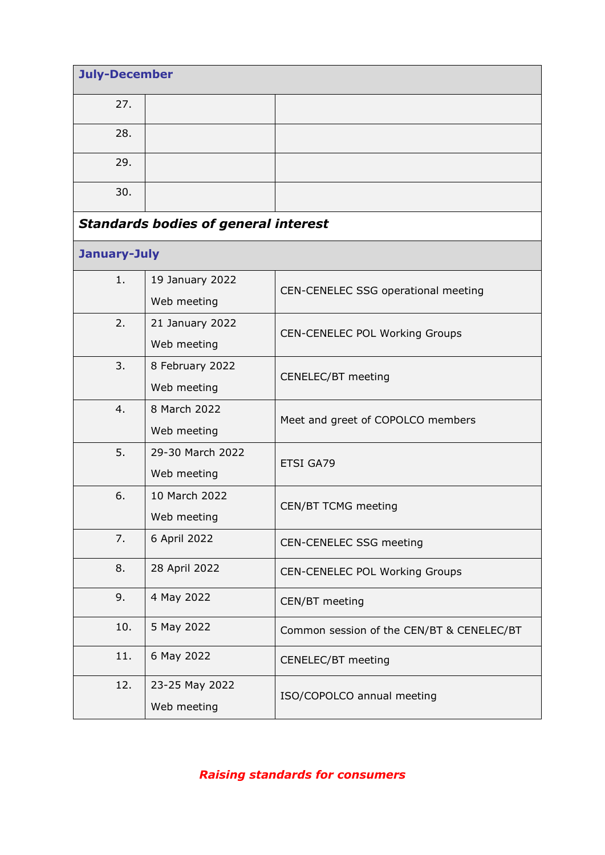| <b>July-December</b> |                                             |                                           |
|----------------------|---------------------------------------------|-------------------------------------------|
| 27.                  |                                             |                                           |
| 28.                  |                                             |                                           |
| 29.                  |                                             |                                           |
| 30.                  |                                             |                                           |
|                      | <b>Standards bodies of general interest</b> |                                           |
| January-July         |                                             |                                           |
| 1.                   | 19 January 2022<br>Web meeting              | CEN-CENELEC SSG operational meeting       |
| 2.                   | 21 January 2022<br>Web meeting              | CEN-CENELEC POL Working Groups            |
| 3.                   | 8 February 2022<br>Web meeting              | CENELEC/BT meeting                        |
| 4.                   | 8 March 2022<br>Web meeting                 | Meet and greet of COPOLCO members         |
| 5.                   | 29-30 March 2022<br>Web meeting             | ETSI GA79                                 |
| 6.                   | 10 March 2022<br>Web meeting                | <b>CEN/BT TCMG meeting</b>                |
| 7.                   | 6 April 2022                                | CEN-CENELEC SSG meeting                   |
| 8.                   | 28 April 2022                               | CEN-CENELEC POL Working Groups            |
| 9.                   | 4 May 2022                                  | CEN/BT meeting                            |
| 10.                  | 5 May 2022                                  | Common session of the CEN/BT & CENELEC/BT |
| 11.                  | 6 May 2022                                  | CENELEC/BT meeting                        |
| 12.                  | 23-25 May 2022<br>Web meeting               | ISO/COPOLCO annual meeting                |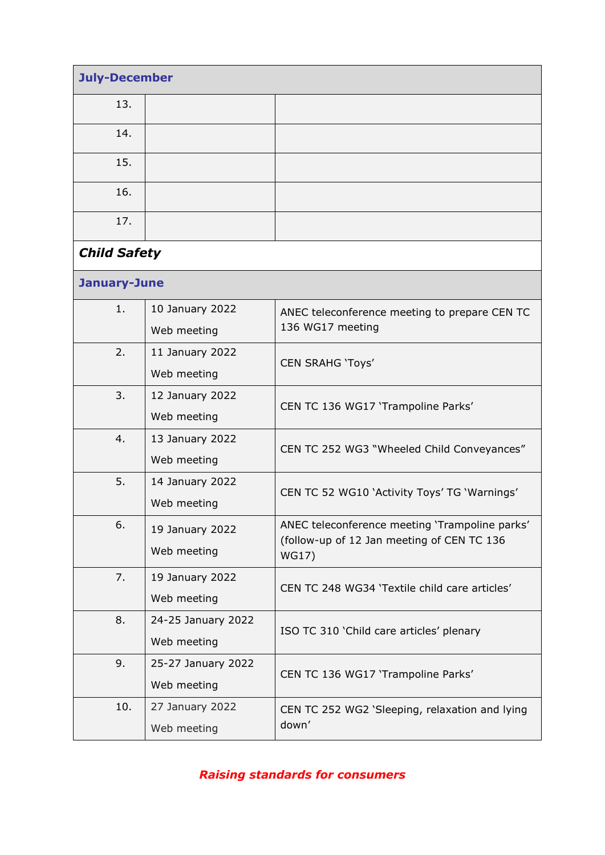| <b>July-December</b> |                                   |                                                                                                       |
|----------------------|-----------------------------------|-------------------------------------------------------------------------------------------------------|
| 13.                  |                                   |                                                                                                       |
| 14.                  |                                   |                                                                                                       |
| 15.                  |                                   |                                                                                                       |
| 16.                  |                                   |                                                                                                       |
| 17.                  |                                   |                                                                                                       |
| <b>Child Safety</b>  |                                   |                                                                                                       |
| January-June         |                                   |                                                                                                       |
| 1.                   | 10 January 2022<br>Web meeting    | ANEC teleconference meeting to prepare CEN TC<br>136 WG17 meeting                                     |
| 2.                   | 11 January 2022<br>Web meeting    | <b>CEN SRAHG 'Toys'</b>                                                                               |
| 3.                   | 12 January 2022<br>Web meeting    | CEN TC 136 WG17 'Trampoline Parks'                                                                    |
| 4.                   | 13 January 2022<br>Web meeting    | CEN TC 252 WG3 "Wheeled Child Conveyances"                                                            |
| 5.                   | 14 January 2022<br>Web meeting    | CEN TC 52 WG10 'Activity Toys' TG 'Warnings'                                                          |
| 6.                   | 19 January 2022<br>Web meeting    | ANEC teleconference meeting 'Trampoline parks'<br>(follow-up of 12 Jan meeting of CEN TC 136<br>WG17) |
| 7.                   | 19 January 2022<br>Web meeting    | CEN TC 248 WG34 'Textile child care articles'                                                         |
| 8.                   | 24-25 January 2022<br>Web meeting | ISO TC 310 'Child care articles' plenary                                                              |
| 9.                   | 25-27 January 2022<br>Web meeting | CEN TC 136 WG17 'Trampoline Parks'                                                                    |
| 10.                  | 27 January 2022<br>Web meeting    | CEN TC 252 WG2 'Sleeping, relaxation and lying<br>down'                                               |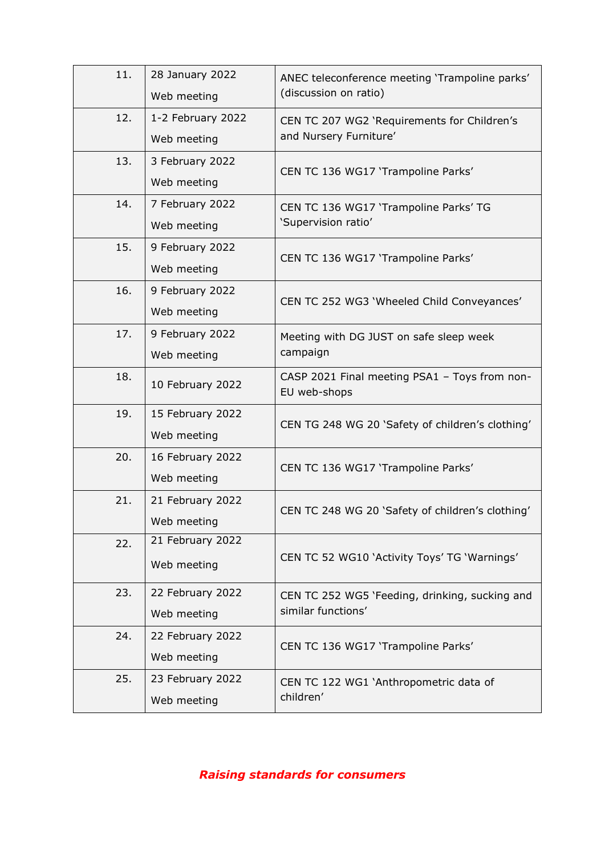| 11. | 28 January 2022<br>Web meeting   | ANEC teleconference meeting 'Trampoline parks'<br>(discussion on ratio) |
|-----|----------------------------------|-------------------------------------------------------------------------|
| 12. | 1-2 February 2022<br>Web meeting | CEN TC 207 WG2 'Requirements for Children's<br>and Nursery Furniture'   |
| 13. | 3 February 2022<br>Web meeting   | CEN TC 136 WG17 'Trampoline Parks'                                      |
| 14. | 7 February 2022<br>Web meeting   | CEN TC 136 WG17 'Trampoline Parks' TG<br>'Supervision ratio'            |
| 15. | 9 February 2022<br>Web meeting   | CEN TC 136 WG17 'Trampoline Parks'                                      |
| 16. | 9 February 2022<br>Web meeting   | CEN TC 252 WG3 'Wheeled Child Conveyances'                              |
| 17. | 9 February 2022<br>Web meeting   | Meeting with DG JUST on safe sleep week<br>campaign                     |
| 18. | 10 February 2022                 | CASP 2021 Final meeting PSA1 - Toys from non-<br>EU web-shops           |
| 19. | 15 February 2022<br>Web meeting  | CEN TG 248 WG 20 'Safety of children's clothing'                        |
| 20. | 16 February 2022<br>Web meeting  | CEN TC 136 WG17 'Trampoline Parks'                                      |
| 21. | 21 February 2022<br>Web meeting  | CEN TC 248 WG 20 'Safety of children's clothing'                        |
| 22. | 21 February 2022<br>Web meeting  | CEN TC 52 WG10 'Activity Toys' TG 'Warnings'                            |
| 23. | 22 February 2022<br>Web meeting  | CEN TC 252 WG5 'Feeding, drinking, sucking and<br>similar functions'    |
| 24. | 22 February 2022<br>Web meeting  | CEN TC 136 WG17 'Trampoline Parks'                                      |
| 25. | 23 February 2022<br>Web meeting  | CEN TC 122 WG1 'Anthropometric data of<br>children'                     |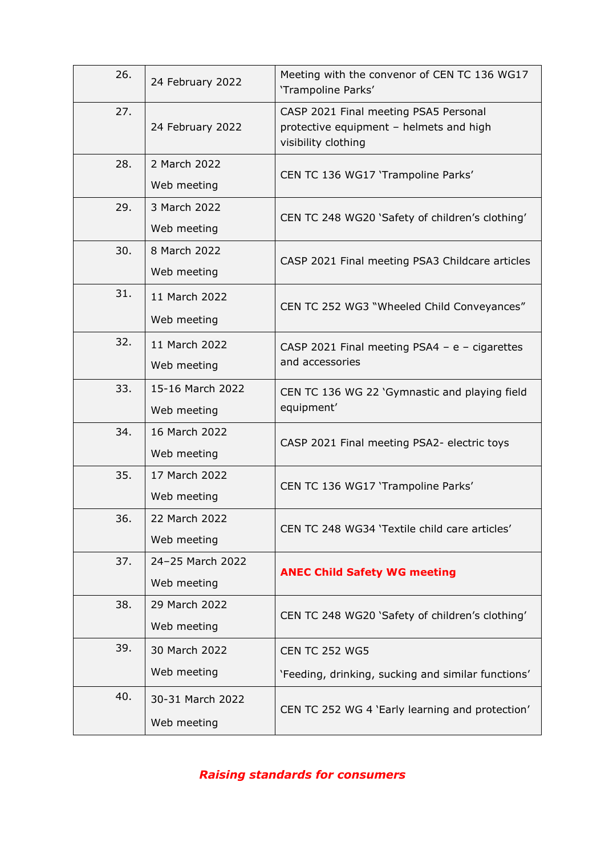| 26. | 24 February 2022                | Meeting with the convenor of CEN TC 136 WG17<br>'Trampoline Parks'                                      |
|-----|---------------------------------|---------------------------------------------------------------------------------------------------------|
| 27. | 24 February 2022                | CASP 2021 Final meeting PSA5 Personal<br>protective equipment - helmets and high<br>visibility clothing |
| 28. | 2 March 2022<br>Web meeting     | CEN TC 136 WG17 'Trampoline Parks'                                                                      |
| 29. | 3 March 2022<br>Web meeting     | CEN TC 248 WG20 'Safety of children's clothing'                                                         |
| 30. | 8 March 2022<br>Web meeting     | CASP 2021 Final meeting PSA3 Childcare articles                                                         |
| 31. | 11 March 2022<br>Web meeting    | CEN TC 252 WG3 "Wheeled Child Conveyances"                                                              |
| 32. | 11 March 2022<br>Web meeting    | CASP 2021 Final meeting PSA4 - $e$ - cigarettes<br>and accessories                                      |
| 33. | 15-16 March 2022<br>Web meeting | CEN TC 136 WG 22 'Gymnastic and playing field<br>equipment'                                             |
| 34. | 16 March 2022<br>Web meeting    | CASP 2021 Final meeting PSA2- electric toys                                                             |
| 35. | 17 March 2022<br>Web meeting    | CEN TC 136 WG17 'Trampoline Parks'                                                                      |
| 36. | 22 March 2022<br>Web meeting    | CEN TC 248 WG34 'Textile child care articles'                                                           |
| 37. | 24-25 March 2022<br>Web meeting | <b>ANEC Child Safety WG meeting</b>                                                                     |
| 38. | 29 March 2022<br>Web meeting    | CEN TC 248 WG20 'Safety of children's clothing'                                                         |
| 39. | 30 March 2022<br>Web meeting    | <b>CEN TC 252 WG5</b><br>'Feeding, drinking, sucking and similar functions'                             |
| 40. | 30-31 March 2022<br>Web meeting | CEN TC 252 WG 4 'Early learning and protection'                                                         |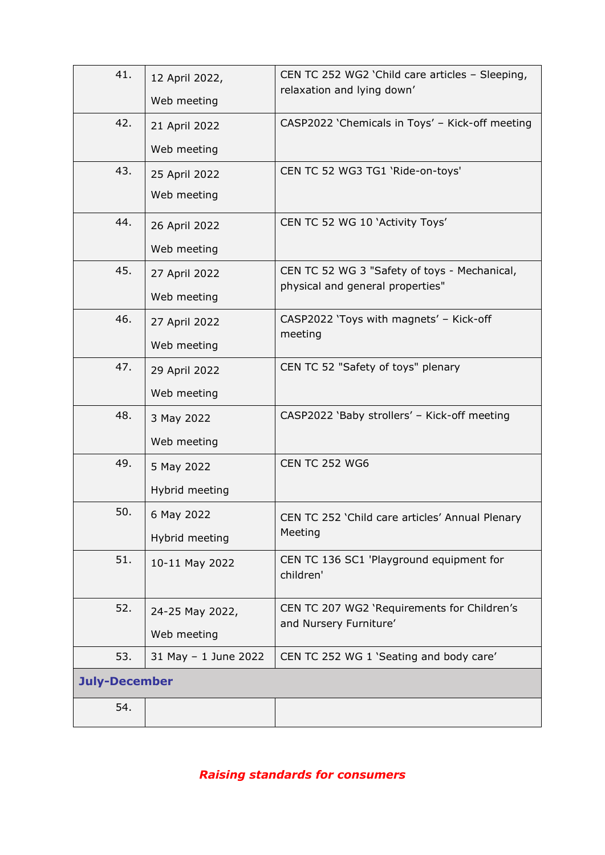| 41.                  | 12 April 2022,<br>Web meeting  | CEN TC 252 WG2 'Child care articles - Sleeping,<br>relaxation and lying down'    |
|----------------------|--------------------------------|----------------------------------------------------------------------------------|
| 42.                  | 21 April 2022<br>Web meeting   | CASP2022 'Chemicals in Toys' - Kick-off meeting                                  |
| 43.                  | 25 April 2022<br>Web meeting   | CEN TC 52 WG3 TG1 'Ride-on-toys'                                                 |
| 44.                  | 26 April 2022<br>Web meeting   | CEN TC 52 WG 10 'Activity Toys'                                                  |
| 45.                  | 27 April 2022<br>Web meeting   | CEN TC 52 WG 3 "Safety of toys - Mechanical,<br>physical and general properties" |
| 46.                  | 27 April 2022<br>Web meeting   | CASP2022 'Toys with magnets' - Kick-off<br>meeting                               |
| 47.                  | 29 April 2022<br>Web meeting   | CEN TC 52 "Safety of toys" plenary                                               |
| 48.                  | 3 May 2022<br>Web meeting      | CASP2022 'Baby strollers' - Kick-off meeting                                     |
| 49.                  | 5 May 2022<br>Hybrid meeting   | <b>CEN TC 252 WG6</b>                                                            |
| 50.                  | 6 May 2022<br>Hybrid meeting   | CEN TC 252 'Child care articles' Annual Plenary<br>Meeting                       |
| 51.                  | 10-11 May 2022                 | CEN TC 136 SC1 'Playground equipment for<br>children'                            |
| 52.                  | 24-25 May 2022,<br>Web meeting | CEN TC 207 WG2 'Requirements for Children's<br>and Nursery Furniture'            |
| 53.                  | 31 May - 1 June 2022           | CEN TC 252 WG 1 'Seating and body care'                                          |
| <b>July-December</b> |                                |                                                                                  |
| 54.                  |                                |                                                                                  |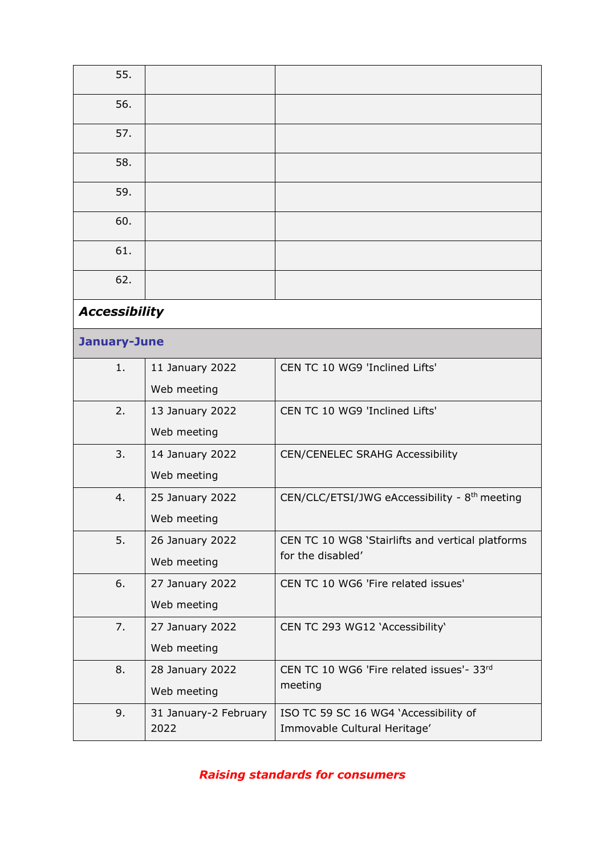| 55.                  |                       |                                                           |
|----------------------|-----------------------|-----------------------------------------------------------|
| 56.                  |                       |                                                           |
| 57.                  |                       |                                                           |
| 58.                  |                       |                                                           |
| 59.                  |                       |                                                           |
| 60.                  |                       |                                                           |
| 61.                  |                       |                                                           |
| 62.                  |                       |                                                           |
| <b>Accessibility</b> |                       |                                                           |
| <b>January-June</b>  |                       |                                                           |
| 1.                   | 11 January 2022       | CEN TC 10 WG9 'Inclined Lifts'                            |
|                      | Web meeting           |                                                           |
| 2.                   | 13 January 2022       | CEN TC 10 WG9 'Inclined Lifts'                            |
|                      | Web meeting           |                                                           |
| 3.                   | 14 January 2022       | <b>CEN/CENELEC SRAHG Accessibility</b>                    |
|                      | Web meeting           |                                                           |
| 4.                   | 25 January 2022       | CEN/CLC/ETSI/JWG eAccessibility - 8 <sup>th</sup> meeting |
|                      | Web meeting           |                                                           |
| 5.                   | 26 January 2022       | CEN TC 10 WG8 'Stairlifts and vertical platforms          |
|                      | Web meeting           | for the disabled'                                         |
| 6.                   | 27 January 2022       | CEN TC 10 WG6 'Fire related issues'                       |
|                      | Web meeting           |                                                           |
| 7.                   | 27 January 2022       | CEN TC 293 WG12 'Accessibility'                           |
|                      | Web meeting           |                                                           |
| 8.                   | 28 January 2022       | CEN TC 10 WG6 'Fire related issues'- 33rd                 |
|                      | Web meeting           | meeting                                                   |
| 9.                   | 31 January-2 February | ISO TC 59 SC 16 WG4 'Accessibility of                     |
|                      | 2022                  | Immovable Cultural Heritage'                              |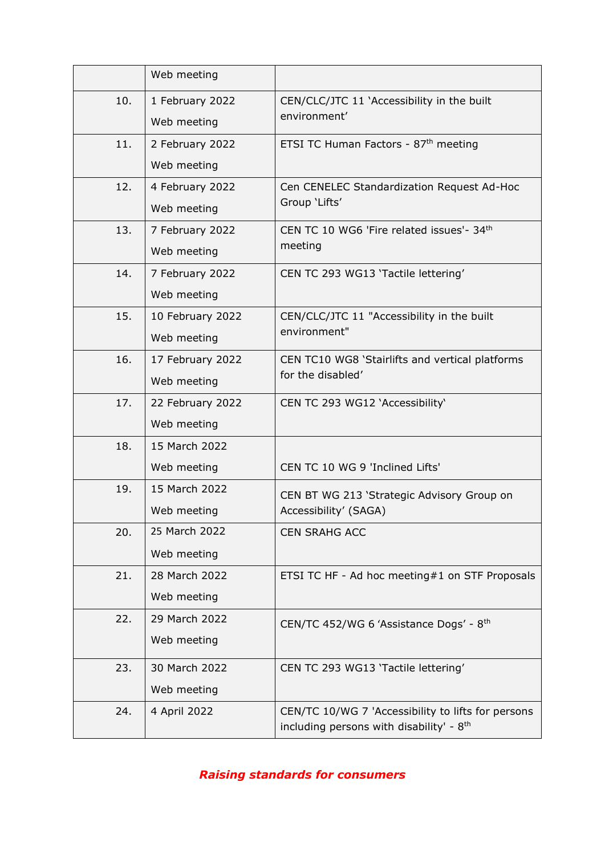|                                  | Web meeting      |                                                      |
|----------------------------------|------------------|------------------------------------------------------|
| 10.                              | 1 February 2022  | CEN/CLC/JTC 11 'Accessibility in the built           |
|                                  | Web meeting      | environment'                                         |
| 11.                              | 2 February 2022  | ETSI TC Human Factors - 87th meeting                 |
|                                  | Web meeting      |                                                      |
| 12.                              | 4 February 2022  | Cen CENELEC Standardization Request Ad-Hoc           |
|                                  | Web meeting      | Group 'Lifts'                                        |
| 13.                              | 7 February 2022  | CEN TC 10 WG6 'Fire related issues'- 34th            |
|                                  | Web meeting      | meeting                                              |
| 14.                              | 7 February 2022  | CEN TC 293 WG13 'Tactile lettering'                  |
|                                  | Web meeting      |                                                      |
| 15.                              | 10 February 2022 | CEN/CLC/JTC 11 "Accessibility in the built           |
| environment"<br>Web meeting      |                  |                                                      |
| 16.                              | 17 February 2022 | CEN TC10 WG8 'Stairlifts and vertical platforms      |
| for the disabled'<br>Web meeting |                  |                                                      |
| 17.                              | 22 February 2022 | CEN TC 293 WG12 'Accessibility'                      |
|                                  | Web meeting      |                                                      |
| 18.                              | 15 March 2022    |                                                      |
|                                  | Web meeting      | CEN TC 10 WG 9 'Inclined Lifts'                      |
| 19.                              | 15 March 2022    | CEN BT WG 213 'Strategic Advisory Group on           |
|                                  | Web meeting      | Accessibility' (SAGA)                                |
| 20.                              | 25 March 2022    | <b>CEN SRAHG ACC</b>                                 |
|                                  | Web meeting      |                                                      |
| 21.                              | 28 March 2022    | ETSI TC HF - Ad hoc meeting#1 on STF Proposals       |
|                                  | Web meeting      |                                                      |
| 22.                              | 29 March 2022    | CEN/TC 452/WG 6 'Assistance Dogs' - 8th              |
|                                  | Web meeting      |                                                      |
| 23.                              | 30 March 2022    | CEN TC 293 WG13 'Tactile lettering'                  |
|                                  | Web meeting      |                                                      |
| 24.                              | 4 April 2022     | CEN/TC 10/WG 7 'Accessibility to lifts for persons   |
|                                  |                  | including persons with disability' - 8 <sup>th</sup> |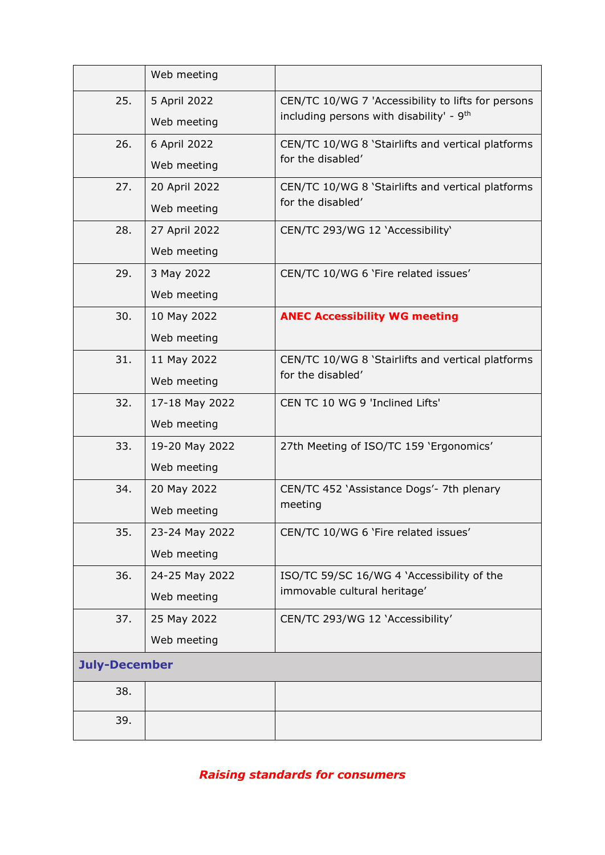|                      | Web meeting    |                                                      |
|----------------------|----------------|------------------------------------------------------|
| 25.                  | 5 April 2022   | CEN/TC 10/WG 7 'Accessibility to lifts for persons   |
|                      | Web meeting    | including persons with disability' - 9 <sup>th</sup> |
| 26.                  | 6 April 2022   | CEN/TC 10/WG 8 'Stairlifts and vertical platforms    |
|                      | Web meeting    | for the disabled'                                    |
| 27.                  | 20 April 2022  | CEN/TC 10/WG 8 'Stairlifts and vertical platforms    |
|                      | Web meeting    | for the disabled'                                    |
| 28.                  | 27 April 2022  | CEN/TC 293/WG 12 'Accessibility'                     |
|                      | Web meeting    |                                                      |
| 29.                  | 3 May 2022     | CEN/TC 10/WG 6 'Fire related issues'                 |
|                      | Web meeting    |                                                      |
| 30.                  | 10 May 2022    | <b>ANEC Accessibility WG meeting</b>                 |
|                      | Web meeting    |                                                      |
| 31.                  | 11 May 2022    | CEN/TC 10/WG 8 'Stairlifts and vertical platforms    |
|                      | Web meeting    | for the disabled'                                    |
| 32.                  | 17-18 May 2022 | CEN TC 10 WG 9 'Inclined Lifts'                      |
|                      | Web meeting    |                                                      |
| 33.                  | 19-20 May 2022 | 27th Meeting of ISO/TC 159 'Ergonomics'              |
|                      | Web meeting    |                                                      |
| 34.                  | 20 May 2022    | CEN/TC 452 'Assistance Dogs'- 7th plenary            |
|                      | Web meeting    | meeting                                              |
| 35.                  | 23-24 May 2022 | CEN/TC 10/WG 6 'Fire related issues'                 |
|                      | Web meeting    |                                                      |
| 36.                  | 24-25 May 2022 | ISO/TC 59/SC 16/WG 4 'Accessibility of the           |
|                      | Web meeting    | immovable cultural heritage'                         |
| 37.                  | 25 May 2022    | CEN/TC 293/WG 12 'Accessibility'                     |
|                      | Web meeting    |                                                      |
| <b>July-December</b> |                |                                                      |
| 38.                  |                |                                                      |
| 39.                  |                |                                                      |
|                      |                |                                                      |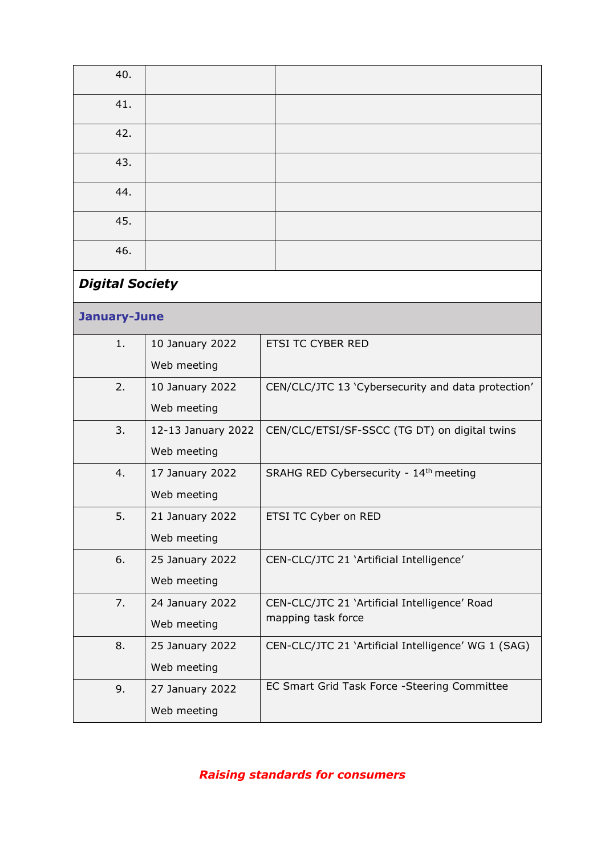| 40.                    |                    |                                                     |
|------------------------|--------------------|-----------------------------------------------------|
| 41.                    |                    |                                                     |
| 42.                    |                    |                                                     |
| 43.                    |                    |                                                     |
| 44.                    |                    |                                                     |
| 45.                    |                    |                                                     |
| 46.                    |                    |                                                     |
| <b>Digital Society</b> |                    |                                                     |
| January-June           |                    |                                                     |
| 1.                     | 10 January 2022    | ETSI TC CYBER RED                                   |
|                        | Web meeting        |                                                     |
| 2.                     | 10 January 2022    | CEN/CLC/JTC 13 'Cybersecurity and data protection'  |
|                        | Web meeting        |                                                     |
| 3.                     | 12-13 January 2022 | CEN/CLC/ETSI/SF-SSCC (TG DT) on digital twins       |
|                        | Web meeting        |                                                     |
| 4.                     | 17 January 2022    | SRAHG RED Cybersecurity - 14th meeting              |
|                        | Web meeting        |                                                     |
| 5.                     | 21 January 2022    | ETSI TC Cyber on RED                                |
|                        | Web meeting        |                                                     |
| 6.                     | 25 January 2022    | CEN-CLC/JTC 21 'Artificial Intelligence'            |
|                        | Web meeting        |                                                     |
| 7.                     | 24 January 2022    | CEN-CLC/JTC 21 'Artificial Intelligence' Road       |
|                        | Web meeting        | mapping task force                                  |
| 8.                     | 25 January 2022    | CEN-CLC/JTC 21 'Artificial Intelligence' WG 1 (SAG) |
|                        | Web meeting        |                                                     |
| 9.                     | 27 January 2022    | EC Smart Grid Task Force - Steering Committee       |
|                        | Web meeting        |                                                     |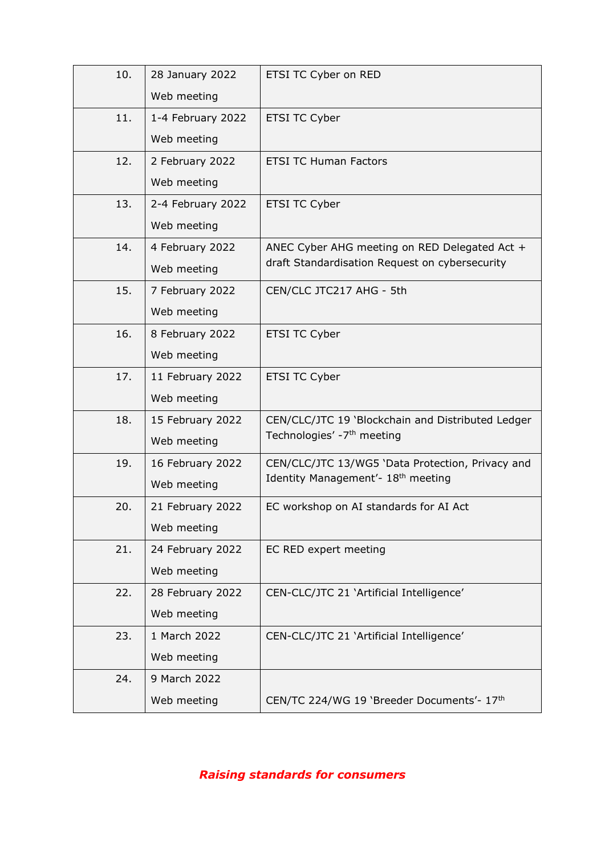| 10. | 28 January 2022   | ETSI TC Cyber on RED                              |
|-----|-------------------|---------------------------------------------------|
|     | Web meeting       |                                                   |
| 11. | 1-4 February 2022 | ETSI TC Cyber                                     |
|     | Web meeting       |                                                   |
| 12. | 2 February 2022   | <b>ETSI TC Human Factors</b>                      |
|     | Web meeting       |                                                   |
| 13. | 2-4 February 2022 | ETSI TC Cyber                                     |
|     | Web meeting       |                                                   |
| 14. | 4 February 2022   | ANEC Cyber AHG meeting on RED Delegated Act +     |
|     | Web meeting       | draft Standardisation Request on cybersecurity    |
| 15. | 7 February 2022   | CEN/CLC JTC217 AHG - 5th                          |
|     | Web meeting       |                                                   |
| 16. | 8 February 2022   | ETSI TC Cyber                                     |
|     | Web meeting       |                                                   |
| 17. | 11 February 2022  | ETSI TC Cyber                                     |
|     | Web meeting       |                                                   |
| 18. | 15 February 2022  | CEN/CLC/JTC 19 'Blockchain and Distributed Ledger |
|     | Web meeting       | Technologies' -7 <sup>th</sup> meeting            |
| 19. | 16 February 2022  | CEN/CLC/JTC 13/WG5 'Data Protection, Privacy and  |
|     | Web meeting       | Identity Management'- 18 <sup>th</sup> meeting    |
| 20. | 21 February 2022  | EC workshop on AI standards for AI Act            |
|     | Web meeting       |                                                   |
| 21. | 24 February 2022  | EC RED expert meeting                             |
|     | Web meeting       |                                                   |
| 22. | 28 February 2022  | CEN-CLC/JTC 21 'Artificial Intelligence'          |
|     | Web meeting       |                                                   |
| 23. | 1 March 2022      | CEN-CLC/JTC 21 'Artificial Intelligence'          |
|     | Web meeting       |                                                   |
| 24. | 9 March 2022      |                                                   |
|     | Web meeting       | CEN/TC 224/WG 19 'Breeder Documents'- 17th        |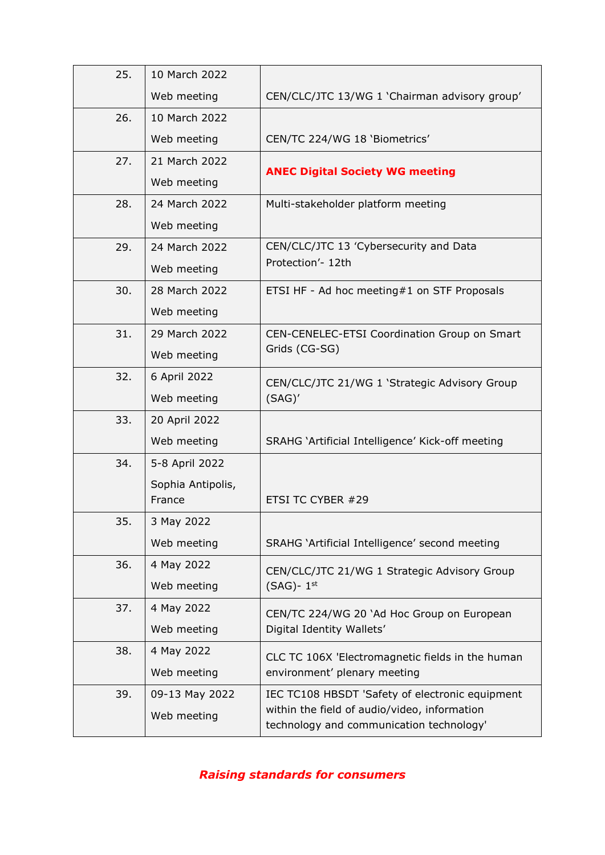| 25. | 10 March 2022     |                                                                                                 |
|-----|-------------------|-------------------------------------------------------------------------------------------------|
|     | Web meeting       | CEN/CLC/JTC 13/WG 1 'Chairman advisory group'                                                   |
| 26. | 10 March 2022     |                                                                                                 |
|     | Web meeting       | CEN/TC 224/WG 18 'Biometrics'                                                                   |
| 27. | 21 March 2022     | <b>ANEC Digital Society WG meeting</b>                                                          |
|     | Web meeting       |                                                                                                 |
| 28. | 24 March 2022     | Multi-stakeholder platform meeting                                                              |
|     | Web meeting       |                                                                                                 |
| 29. | 24 March 2022     | CEN/CLC/JTC 13 'Cybersecurity and Data                                                          |
|     | Web meeting       | Protection'- 12th                                                                               |
| 30. | 28 March 2022     | ETSI HF - Ad hoc meeting#1 on STF Proposals                                                     |
|     | Web meeting       |                                                                                                 |
| 31. | 29 March 2022     | CEN-CENELEC-ETSI Coordination Group on Smart                                                    |
|     | Web meeting       | Grids (CG-SG)                                                                                   |
| 32. | 6 April 2022      | CEN/CLC/JTC 21/WG 1 'Strategic Advisory Group                                                   |
|     | Web meeting       | (SAG)'                                                                                          |
| 33. | 20 April 2022     |                                                                                                 |
|     | Web meeting       | SRAHG 'Artificial Intelligence' Kick-off meeting                                                |
| 34. | 5-8 April 2022    |                                                                                                 |
|     | Sophia Antipolis, |                                                                                                 |
|     | France            | ETSI TC CYBER #29                                                                               |
| 35. | 3 May 2022        |                                                                                                 |
|     | Web meeting       | SRAHG 'Artificial Intelligence' second meeting                                                  |
| 36. | 4 May 2022        | CEN/CLC/JTC 21/WG 1 Strategic Advisory Group                                                    |
|     | Web meeting       | $(SAG)$ - 1st                                                                                   |
| 37. | 4 May 2022        | CEN/TC 224/WG 20 'Ad Hoc Group on European                                                      |
|     | Web meeting       | Digital Identity Wallets'                                                                       |
| 38. | 4 May 2022        | CLC TC 106X 'Electromagnetic fields in the human                                                |
|     | Web meeting       | environment' plenary meeting                                                                    |
| 39. | 09-13 May 2022    | IEC TC108 HBSDT 'Safety of electronic equipment<br>within the field of audio/video, information |
|     | Web meeting       | technology and communication technology'                                                        |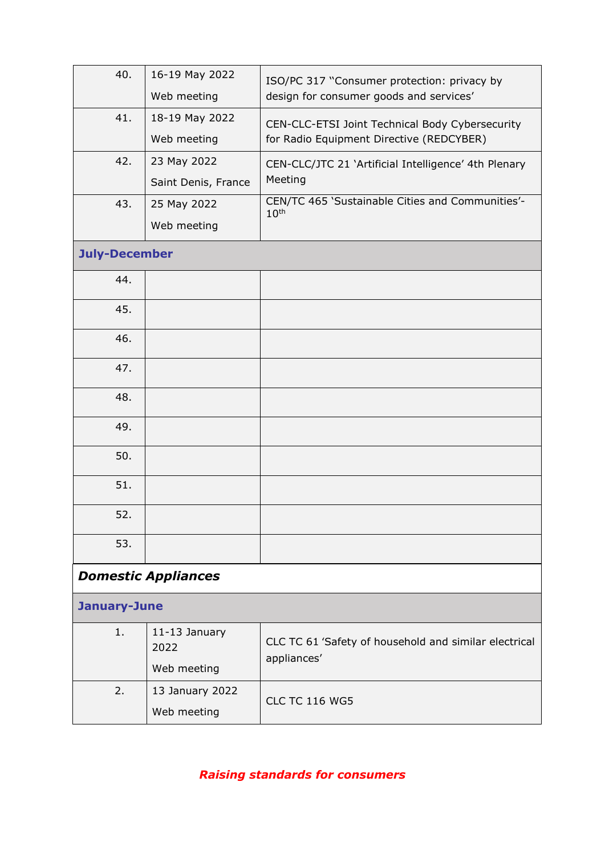| 40.                  | 16-19 May 2022             | ISO/PC 317 "Consumer protection: privacy by                          |
|----------------------|----------------------------|----------------------------------------------------------------------|
|                      | Web meeting                | design for consumer goods and services'                              |
| 41.                  | 18-19 May 2022             | CEN-CLC-ETSI Joint Technical Body Cybersecurity                      |
|                      | Web meeting                | for Radio Equipment Directive (REDCYBER)                             |
| 42.                  | 23 May 2022                | CEN-CLC/JTC 21 'Artificial Intelligence' 4th Plenary                 |
|                      | Saint Denis, France        | Meeting                                                              |
| 43.                  | 25 May 2022                | CEN/TC 465 'Sustainable Cities and Communities'-<br>10 <sup>th</sup> |
|                      | Web meeting                |                                                                      |
| <b>July-December</b> |                            |                                                                      |
| 44.                  |                            |                                                                      |
| 45.                  |                            |                                                                      |
| 46.                  |                            |                                                                      |
| 47.                  |                            |                                                                      |
| 48.                  |                            |                                                                      |
| 49.                  |                            |                                                                      |
| 50.                  |                            |                                                                      |
| 51.                  |                            |                                                                      |
| 52.                  |                            |                                                                      |
| 53.                  |                            |                                                                      |
|                      | <b>Domestic Appliances</b> |                                                                      |
| <b>January-June</b>  |                            |                                                                      |
| 1.                   | 11-13 January<br>2022      | CLC TC 61 'Safety of household and similar electrical<br>appliances' |
|                      | Web meeting                |                                                                      |
| 2.                   | 13 January 2022            |                                                                      |
|                      | Web meeting                | <b>CLC TC 116 WG5</b>                                                |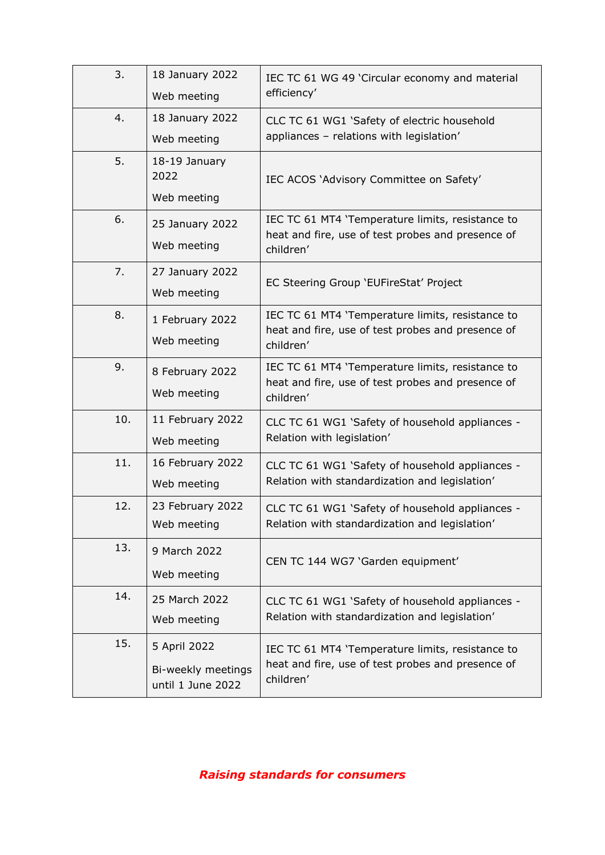| 3.  | 18 January 2022<br>Web meeting                          | IEC TC 61 WG 49 'Circular economy and material<br>efficiency'                                                      |
|-----|---------------------------------------------------------|--------------------------------------------------------------------------------------------------------------------|
| 4.  | 18 January 2022<br>Web meeting                          | CLC TC 61 WG1 'Safety of electric household<br>appliances - relations with legislation'                            |
| 5.  | 18-19 January<br>2022<br>Web meeting                    | IEC ACOS 'Advisory Committee on Safety'                                                                            |
| 6.  | 25 January 2022<br>Web meeting                          | IEC TC 61 MT4 'Temperature limits, resistance to<br>heat and fire, use of test probes and presence of<br>children' |
| 7.  | 27 January 2022<br>Web meeting                          | EC Steering Group 'EUFireStat' Project                                                                             |
| 8.  | 1 February 2022<br>Web meeting                          | IEC TC 61 MT4 'Temperature limits, resistance to<br>heat and fire, use of test probes and presence of<br>children' |
| 9.  | 8 February 2022<br>Web meeting                          | IEC TC 61 MT4 'Temperature limits, resistance to<br>heat and fire, use of test probes and presence of<br>children' |
| 10. | 11 February 2022<br>Web meeting                         | CLC TC 61 WG1 'Safety of household appliances -<br>Relation with legislation'                                      |
| 11. | 16 February 2022<br>Web meeting                         | CLC TC 61 WG1 'Safety of household appliances -<br>Relation with standardization and legislation'                  |
| 12. | 23 February 2022<br>Web meeting                         | CLC TC 61 WG1 'Safety of household appliances -<br>Relation with standardization and legislation'                  |
| 13. | 9 March 2022<br>Web meeting                             | CEN TC 144 WG7 'Garden equipment'                                                                                  |
| 14. | 25 March 2022<br>Web meeting                            | CLC TC 61 WG1 'Safety of household appliances -<br>Relation with standardization and legislation'                  |
| 15. | 5 April 2022<br>Bi-weekly meetings<br>until 1 June 2022 | IEC TC 61 MT4 'Temperature limits, resistance to<br>heat and fire, use of test probes and presence of<br>children' |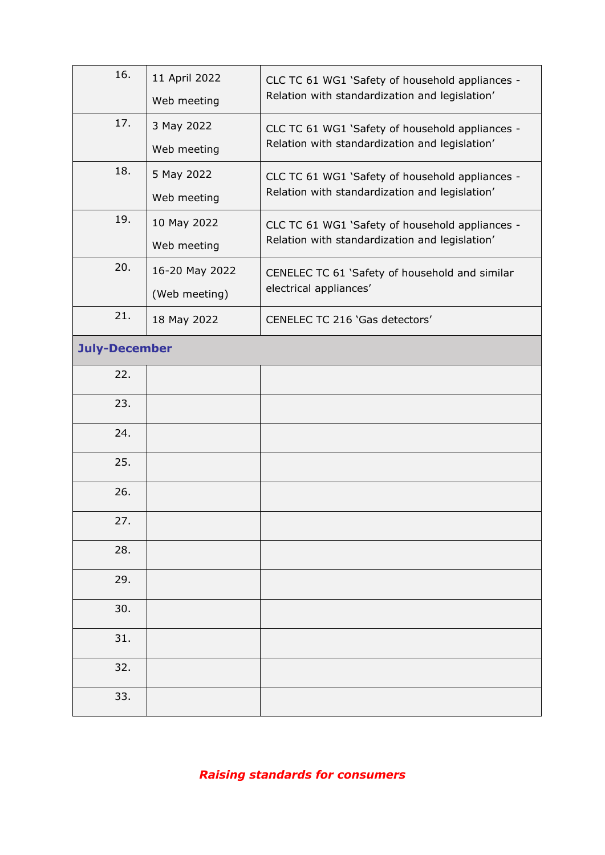| 16.                  | 11 April 2022  | CLC TC 61 WG1 'Safety of household appliances - |
|----------------------|----------------|-------------------------------------------------|
|                      | Web meeting    | Relation with standardization and legislation'  |
| 17.                  | 3 May 2022     | CLC TC 61 WG1 'Safety of household appliances - |
|                      | Web meeting    | Relation with standardization and legislation'  |
| 18.                  | 5 May 2022     | CLC TC 61 WG1 'Safety of household appliances - |
|                      | Web meeting    | Relation with standardization and legislation'  |
| 19.                  | 10 May 2022    | CLC TC 61 WG1 'Safety of household appliances - |
|                      | Web meeting    | Relation with standardization and legislation'  |
| 20.                  | 16-20 May 2022 | CENELEC TC 61 'Safety of household and similar  |
|                      | (Web meeting)  | electrical appliances'                          |
| 21.                  | 18 May 2022    | CENELEC TC 216 'Gas detectors'                  |
| <b>July-December</b> |                |                                                 |
| 22.                  |                |                                                 |
| 23.                  |                |                                                 |
| 24.                  |                |                                                 |
| 25.                  |                |                                                 |
| 26.                  |                |                                                 |
| 27.                  |                |                                                 |
| 28.                  |                |                                                 |
| 29.                  |                |                                                 |
| 30.                  |                |                                                 |
| 31.                  |                |                                                 |
| 32.                  |                |                                                 |
| 33.                  |                |                                                 |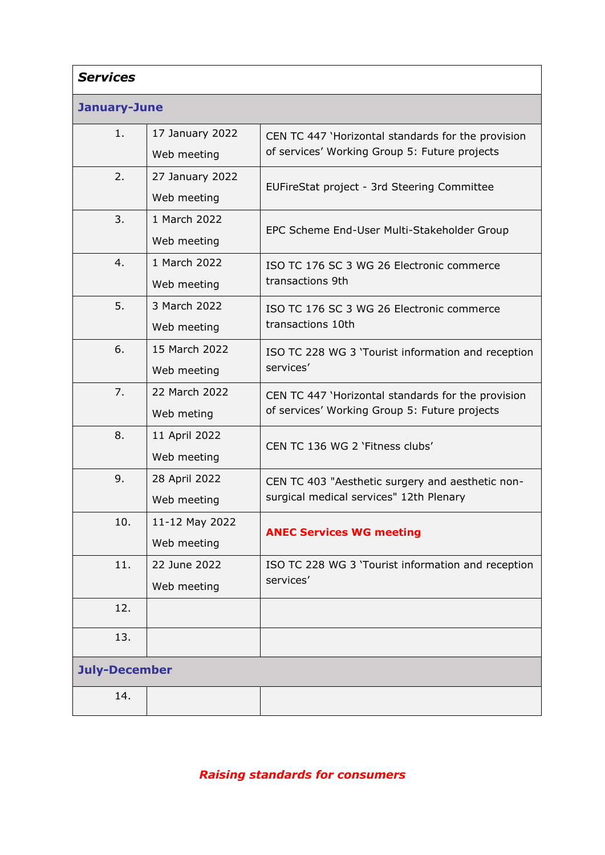| <b>Services</b>      |                                |                                                                                                     |
|----------------------|--------------------------------|-----------------------------------------------------------------------------------------------------|
| January-June         |                                |                                                                                                     |
| 1.                   | 17 January 2022<br>Web meeting | CEN TC 447 'Horizontal standards for the provision<br>of services' Working Group 5: Future projects |
| 2.                   | 27 January 2022<br>Web meeting | EUFireStat project - 3rd Steering Committee                                                         |
| 3.                   | 1 March 2022<br>Web meeting    | EPC Scheme End-User Multi-Stakeholder Group                                                         |
| 4.                   | 1 March 2022<br>Web meeting    | ISO TC 176 SC 3 WG 26 Electronic commerce<br>transactions 9th                                       |
| 5.                   | 3 March 2022<br>Web meeting    | ISO TC 176 SC 3 WG 26 Electronic commerce<br>transactions 10th                                      |
| 6.                   | 15 March 2022<br>Web meeting   | ISO TC 228 WG 3 'Tourist information and reception<br>services'                                     |
| 7.                   | 22 March 2022<br>Web meting    | CEN TC 447 'Horizontal standards for the provision<br>of services' Working Group 5: Future projects |
| 8.                   | 11 April 2022<br>Web meeting   | CEN TC 136 WG 2 'Fitness clubs'                                                                     |
| 9.                   | 28 April 2022<br>Web meeting   | CEN TC 403 "Aesthetic surgery and aesthetic non-<br>surgical medical services" 12th Plenary         |
| 10.                  | 11-12 May 2022<br>Web meeting  | <b>ANEC Services WG meeting</b>                                                                     |
| 11.                  | 22 June 2022<br>Web meeting    | ISO TC 228 WG 3 'Tourist information and reception<br>services'                                     |
| 12.                  |                                |                                                                                                     |
| 13.                  |                                |                                                                                                     |
| <b>July-December</b> |                                |                                                                                                     |
| 14.                  |                                |                                                                                                     |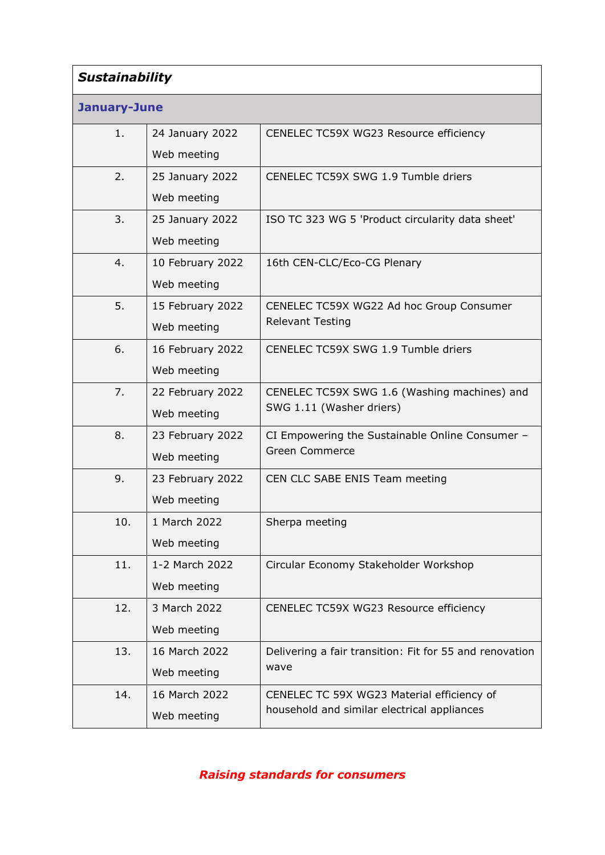| <b>Sustainability</b> |                                 |                                                                                           |
|-----------------------|---------------------------------|-------------------------------------------------------------------------------------------|
| <b>January-June</b>   |                                 |                                                                                           |
| 1.                    | 24 January 2022<br>Web meeting  | CENELEC TC59X WG23 Resource efficiency                                                    |
| 2.                    | 25 January 2022<br>Web meeting  | CENELEC TC59X SWG 1.9 Tumble driers                                                       |
| 3.                    | 25 January 2022<br>Web meeting  | ISO TC 323 WG 5 'Product circularity data sheet'                                          |
| 4.                    | 10 February 2022<br>Web meeting | 16th CEN-CLC/Eco-CG Plenary                                                               |
| 5.                    | 15 February 2022<br>Web meeting | CENELEC TC59X WG22 Ad hoc Group Consumer<br><b>Relevant Testing</b>                       |
| 6.                    | 16 February 2022<br>Web meeting | CENELEC TC59X SWG 1.9 Tumble driers                                                       |
| 7.                    | 22 February 2022<br>Web meeting | CENELEC TC59X SWG 1.6 (Washing machines) and<br>SWG 1.11 (Washer driers)                  |
| 8.                    | 23 February 2022<br>Web meeting | CI Empowering the Sustainable Online Consumer -<br><b>Green Commerce</b>                  |
| 9.                    | 23 February 2022<br>Web meeting | CEN CLC SABE ENIS Team meeting                                                            |
| 10.                   | 1 March 2022<br>Web meeting     | Sherpa meeting                                                                            |
| 11.                   | 1-2 March 2022<br>Web meeting   | Circular Economy Stakeholder Workshop                                                     |
| 12.                   | 3 March 2022<br>Web meeting     | CENELEC TC59X WG23 Resource efficiency                                                    |
| 13.                   | 16 March 2022<br>Web meeting    | Delivering a fair transition: Fit for 55 and renovation<br>wave                           |
| 14.                   | 16 March 2022<br>Web meeting    | CENELEC TC 59X WG23 Material efficiency of<br>household and similar electrical appliances |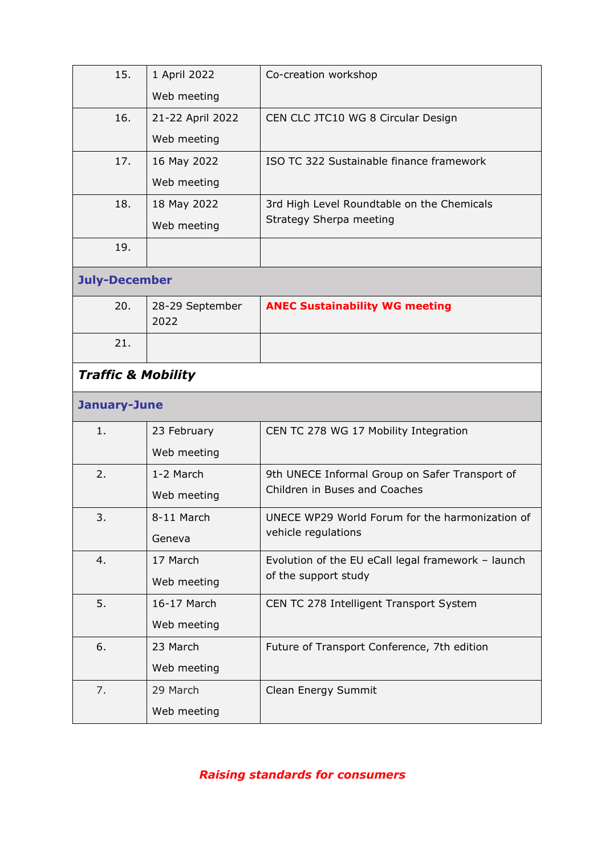| 15.                           | 1 April 2022            | Co-creation workshop                               |
|-------------------------------|-------------------------|----------------------------------------------------|
|                               | Web meeting             |                                                    |
| 16.                           | 21-22 April 2022        | CEN CLC JTC10 WG 8 Circular Design                 |
|                               | Web meeting             |                                                    |
| 17.                           | 16 May 2022             | ISO TC 322 Sustainable finance framework           |
|                               | Web meeting             |                                                    |
| 18.                           | 18 May 2022             | 3rd High Level Roundtable on the Chemicals         |
|                               | Web meeting             | Strategy Sherpa meeting                            |
| 19.                           |                         |                                                    |
| <b>July-December</b>          |                         |                                                    |
| 20.                           | 28-29 September<br>2022 | <b>ANEC Sustainability WG meeting</b>              |
| 21.                           |                         |                                                    |
| <b>Traffic &amp; Mobility</b> |                         |                                                    |
|                               |                         |                                                    |
| <b>January-June</b>           |                         |                                                    |
| 1.                            | 23 February             | CEN TC 278 WG 17 Mobility Integration              |
|                               | Web meeting             |                                                    |
| 2.                            | 1-2 March               | 9th UNECE Informal Group on Safer Transport of     |
|                               | Web meeting             | Children in Buses and Coaches                      |
| 3.                            | 8-11 March              | UNECE WP29 World Forum for the harmonization of    |
|                               | Geneva                  | vehicle regulations                                |
| 4.                            | 17 March                | Evolution of the EU eCall legal framework - launch |
|                               | Web meeting             | of the support study                               |
| 5.                            | 16-17 March             | CEN TC 278 Intelligent Transport System            |
|                               | Web meeting             |                                                    |
| 6.                            | 23 March                | Future of Transport Conference, 7th edition        |
|                               | Web meeting             |                                                    |
| 7.                            | 29 March                | Clean Energy Summit                                |